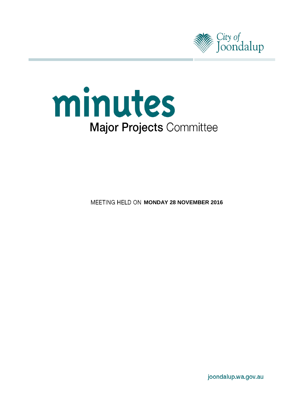



**MEETING HELD ON MONDAY 28 NOVEMBER 2016** 

joondalup.wa.gov.au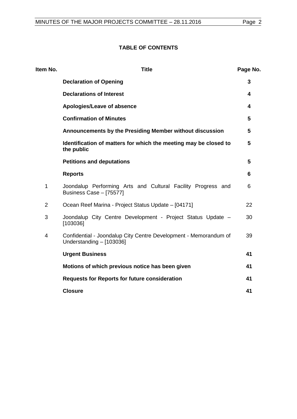# **TABLE OF CONTENTS**

| Item No. | <b>Title</b>                                                                                 | Page No. |
|----------|----------------------------------------------------------------------------------------------|----------|
|          | <b>Declaration of Opening</b>                                                                | 3        |
|          | <b>Declarations of Interest</b>                                                              | 4        |
|          | Apologies/Leave of absence                                                                   | 4        |
|          | <b>Confirmation of Minutes</b>                                                               | 5        |
|          | Announcements by the Presiding Member without discussion                                     | 5        |
|          | Identification of matters for which the meeting may be closed to<br>the public               | 5        |
|          | <b>Petitions and deputations</b>                                                             | 5        |
|          | <b>Reports</b>                                                                               | 6        |
| 1        | Joondalup Performing Arts and Cultural Facility Progress and<br>Business Case - [75577]      | 6        |
| 2        | Ocean Reef Marina - Project Status Update - [04171]                                          | 22       |
| 3        | Joondalup City Centre Development - Project Status Update -<br>[103036]                      | 30       |
| 4        | Confidential - Joondalup City Centre Development - Memorandum of<br>Understanding - [103036] | 39       |
|          | <b>Urgent Business</b>                                                                       | 41       |
|          | Motions of which previous notice has been given                                              | 41       |
|          | <b>Requests for Reports for future consideration</b>                                         | 41       |
|          | <b>Closure</b>                                                                               | 41       |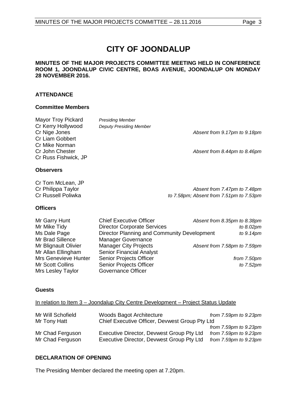# **CITY OF JOONDALUP**

#### **MINUTES OF THE MAJOR PROJECTS COMMITTEE MEETING HELD IN CONFERENCE ROOM 1, JOONDALUP CIVIC CENTRE, BOAS AVENUE, JOONDALUP ON MONDAY 28 NOVEMBER 2016.**

# **ATTENDANCE**

# **Committee Members**

| <b>Mayor Troy Pickard</b><br>Cr Kerry Hollywood<br>Cr Nige Jones<br><b>Cr Liam Gobbert</b><br>Cr Mike Norman<br>Cr John Chester<br>Cr Russ Fishwick, JP                                 | <b>Presiding Member</b><br><b>Deputy Presiding Member</b>                                                                                                                                                                                                                                       | Absent from 9.17pm to 9.18pm<br>Absent from 8.44pm to 8.46pm                                                       |
|-----------------------------------------------------------------------------------------------------------------------------------------------------------------------------------------|-------------------------------------------------------------------------------------------------------------------------------------------------------------------------------------------------------------------------------------------------------------------------------------------------|--------------------------------------------------------------------------------------------------------------------|
| <b>Observers</b>                                                                                                                                                                        |                                                                                                                                                                                                                                                                                                 |                                                                                                                    |
| Cr Tom McLean, JP<br>Cr Philippa Taylor<br>Cr Russell Poliwka<br><b>Officers</b>                                                                                                        |                                                                                                                                                                                                                                                                                                 | Absent from 7.47pm to 7.48pm<br>to 7.58pm; Absent from 7.51pm to 7.53pm                                            |
| Mr Garry Hunt<br>Mr Mike Tidy<br>Ms Dale Page<br>Mr Brad Sillence<br>Mr Blignault Olivier<br>Mr Allan Ellingham<br><b>Mrs Genevieve Hunter</b><br>Mr Scott Collins<br>Mrs Lesley Taylor | <b>Chief Executive Officer</b><br><b>Director Corporate Services</b><br>Director Planning and Community Development<br>Manager Governance<br><b>Manager City Projects</b><br><b>Senior Financial Analyst</b><br>Senior Projects Officer<br>Senior Projects Officer<br><b>Governance Officer</b> | Absent from 8.35pm to 8.38pm<br>to 8.02pm<br>to 9.14pm<br>Absent from 7.58pm to 7.59pm<br>from 7.50pm<br>to 7.52pm |

# **Guests**

# In relation to Item 3 – Joondalup City Centre Development – Project Status Update

| Mr Will Schofield | Woods Bagot Architecture                       | from $7.59$ pm to $9.23$ pm |
|-------------------|------------------------------------------------|-----------------------------|
| Mr Tony Hatt      | Chief Executive Officer, Devwest Group Pty Ltd |                             |
|                   |                                                | from $7.59$ pm to $9.23$ pm |
| Mr Chad Ferguson  | Executive Director, Devwest Group Pty Ltd      | from $7.59$ pm to $9.23$ pm |
| Mr Chad Ferguson  | Executive Director, Devwest Group Pty Ltd      | from $7.59$ pm to $9.23$ pm |

## <span id="page-2-0"></span>**DECLARATION OF OPENING**

The Presiding Member declared the meeting open at 7.20pm.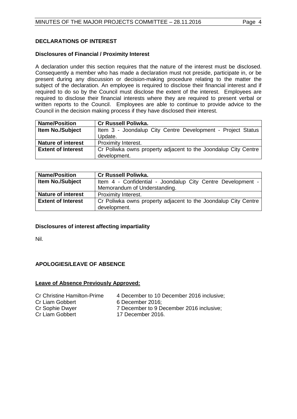# <span id="page-3-0"></span>**DECLARATIONS OF INTEREST**

# **Disclosures of Financial / Proximity Interest**

A declaration under this section requires that the nature of the interest must be disclosed. Consequently a member who has made a declaration must not preside, participate in, or be present during any discussion or decision-making procedure relating to the matter the subject of the declaration. An employee is required to disclose their financial interest and if required to do so by the Council must disclose the extent of the interest. Employees are required to disclose their financial interests where they are required to present verbal or written reports to the Council. Employees are able to continue to provide advice to the Council in the decision making process if they have disclosed their interest.

| <b>Name/Position</b>      | <b>Cr Russell Poliwka.</b>                                     |
|---------------------------|----------------------------------------------------------------|
| <b>Item No./Subject</b>   | Item 3 - Joondalup City Centre Development - Project Status    |
|                           | Update.                                                        |
| <b>Nature of interest</b> | Proximity Interest.                                            |
| <b>Extent of Interest</b> | Cr Poliwka owns property adjacent to the Joondalup City Centre |
|                           | development.                                                   |

| <b>Name/Position</b>      | <b>Cr Russell Poliwka.</b>                                     |  |
|---------------------------|----------------------------------------------------------------|--|
| <b>Item No./Subject</b>   | Item 4 - Confidential - Joondalup City Centre Development -    |  |
|                           | Memorandum of Understanding.                                   |  |
| <b>Nature of interest</b> | <b>Proximity Interest.</b>                                     |  |
| <b>Extent of Interest</b> | Cr Poliwka owns property adjacent to the Joondalup City Centre |  |
|                           | development.                                                   |  |

## **Disclosures of interest affecting impartiality**

Nil.

# <span id="page-3-1"></span>**APOLOGIES/LEAVE OF ABSENCE**

#### **Leave of Absence Previously Approved:**

| <b>Cr Christine Hamilton-Prime</b> |
|------------------------------------|
| Cr Liam Gobbert                    |
| Cr Sophie Dwyer                    |
| Cr Liam Gobbert                    |

4 December to 10 December 2016 inclusive;

- 6 December 2016;
- 7 December to 9 December 2016 inclusive;
- 17 December 2016.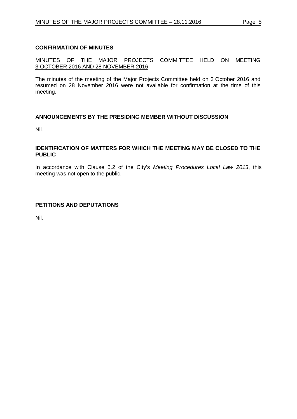# <span id="page-4-0"></span>**CONFIRMATION OF MINUTES**

# MINUTES OF THE MAJOR PROJECTS COMMITTEE HELD ON MEETING 3 OCTOBER 2016 AND 28 NOVEMBER 2016

The minutes of the meeting of the Major Projects Committee held on 3 October 2016 and resumed on 28 November 2016 were not available for confirmation at the time of this meeting.

# <span id="page-4-1"></span>**ANNOUNCEMENTS BY THE PRESIDING MEMBER WITHOUT DISCUSSION**

Nil.

#### <span id="page-4-2"></span>**IDENTIFICATION OF MATTERS FOR WHICH THE MEETING MAY BE CLOSED TO THE PUBLIC**

In accordance with Clause 5.2 of the City's *Meeting Procedures Local Law 2013*, this meeting was not open to the public.

# <span id="page-4-3"></span>**PETITIONS AND DEPUTATIONS**

Nil.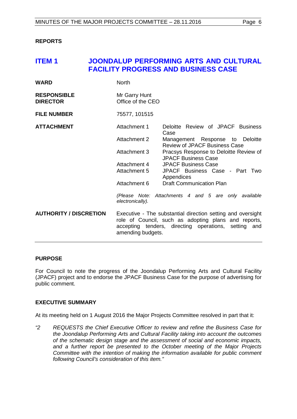#### <span id="page-5-0"></span>**REPORTS**

# <span id="page-5-1"></span>**ITEM 1 JOONDALUP PERFORMING ARTS AND CULTURAL FACILITY PROGRESS AND BUSINESS CASE**

| <b>WARD</b>                           | <b>North</b>                       |                                                                                                                                                                             |
|---------------------------------------|------------------------------------|-----------------------------------------------------------------------------------------------------------------------------------------------------------------------------|
| <b>RESPONSIBLE</b><br><b>DIRECTOR</b> | Mr Garry Hunt<br>Office of the CEO |                                                                                                                                                                             |
| <b>FILE NUMBER</b>                    | 75577, 101515                      |                                                                                                                                                                             |
| <b>ATTACHMENT</b>                     | Attachment 1                       | Deloitte Review of JPACF Business<br>Case                                                                                                                                   |
|                                       | <b>Attachment 2</b>                | Management Response to Deloitte<br><b>Review of JPACF Business Case</b>                                                                                                     |
|                                       | Attachment 3                       | Pracsys Response to Deloitte Review of<br><b>JPACF Business Case</b>                                                                                                        |
|                                       | Attachment 4                       | <b>JPACF Business Case</b>                                                                                                                                                  |
|                                       | Attachment 5                       | JPACF Business Case - Part Two<br>Appendices                                                                                                                                |
|                                       | Attachment 6                       | <b>Draft Communication Plan</b>                                                                                                                                             |
|                                       | electronically).                   | (Please Note: Attachments 4 and 5 are only available                                                                                                                        |
| <b>AUTHORITY / DISCRETION</b>         | amending budgets.                  | Executive - The substantial direction setting and oversight<br>role of Council, such as adopting plans and reports,<br>accepting tenders, directing operations, setting and |

#### **PURPOSE**

For Council to note the progress of the Joondalup Performing Arts and Cultural Facility (JPACF) project and to endorse the JPACF Business Case for the purpose of advertising for public comment.

## **EXECUTIVE SUMMARY**

At its meeting held on 1 August 2016 the Major Projects Committee resolved in part that it:

*"2 REQUESTS the Chief Executive Officer to review and refine the Business Case for the Joondalup Performing Arts and Cultural Facility taking into account the outcomes of the schematic design stage and the assessment of social and economic impacts, and a further report be presented to the October meeting of the Major Projects Committee with the intention of making the information available for public comment following Council's consideration of this item."*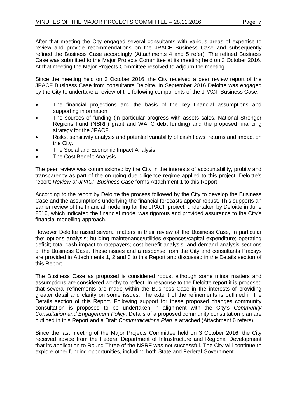After that meeting the City engaged several consultants with various areas of expertise to review and provide recommendations on the JPACF Business Case and subsequently refined the Business Case accordingly (Attachments 4 and 5 refer). The refined Business Case was submitted to the Major Projects Committee at its meeting held on 3 October 2016. At that meeting the Major Projects Committee resolved to adjourn the meeting.

Since the meeting held on 3 October 2016, the City received a peer review report of the JPACF Business Case from consultants Deloitte. In September 2016 Deloitte was engaged by the City to undertake a review of the following components of the JPACF Business Case:

- The financial projections and the basis of the key financial assumptions and supporting information.
- The sources of funding (in particular progress with assets sales, National Stronger Regions Fund (NSRF) grant and WATC debt funding) and the proposed financing strategy for the JPACF.
- Risks, sensitivity analysis and potential variability of cash flows, returns and impact on the City.
- The Social and Economic Impact Analysis.
- The Cost Benefit Analysis.

The peer review was commissioned by the City in the interests of accountability, probity and transparency as part of the on-going due diligence regime applied to this project. Deloitte's report: *Review of JPACF Business Case* forms Attachment 1 to this Report.

According to the report by Deloitte the process followed by the City to develop the Business Case and the assumptions underlying the financial forecasts appear robust. This supports an earlier review of the financial modelling for the JPACF project, undertaken by Deloitte in June 2016, which indicated the financial model was rigorous and provided assurance to the City's financial modelling approach.

However Deloitte raised several matters in their review of the Business Case, in particular the: options analysis; building maintenance/utilities expenses/capital expenditure; operating deficit; total cash impact to ratepayers; cost benefit analysis; and demand analysis sections of the Business Case. These issues and a response from the City and consultants Pracsys are provided in Attachments 1, 2 and 3 to this Report and discussed in the Details section of this Report.

The Business Case as proposed is considered robust although some minor matters and assumptions are considered worthy to reflect. In response to the Deloitte report it is proposed that several refinements are made within the Business Case in the interests of providing greater detail and clarity on some issues. The extent of the refinements is outlined in the Details section of this Report. Following support for these proposed changes community consultation is proposed to be undertaken in alignment with the City's *Community Consultation and Engagement Policy.* Details of a proposed community consultation plan are outlined in this Report and a Draft *Communications Plan* is attached (Attachment 6 refers).

Since the last meeting of the Major Projects Committee held on 3 October 2016, the City received advice from the Federal Department of Infrastructure and Regional Development that its application to Round Three of the NSRF was not successful. The City will continue to explore other funding opportunities, including both State and Federal Government.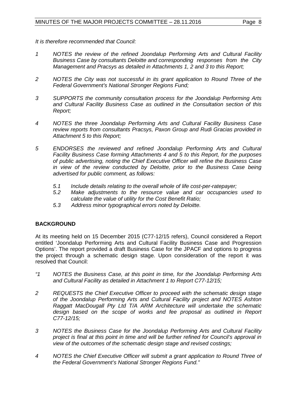- *1 NOTES the review of the refined Joondalup Performing Arts and Cultural Facility Business Case by consultants Deloitte and corresponding responses from the City Management and Pracsys as detailed in Attachments 1, 2 and 3 to this Report;*
- *2 NOTES the City was not successful in its grant application to Round Three of the Federal Government's National Stronger Regions Fund;*
- *3 SUPPORTS the community consultation process for the Joondalup Performing Arts and Cultural Facility Business Case as outlined in the Consultation section of this Report;*
- *4 NOTES the three Joondalup Performing Arts and Cultural Facility Business Case review reports from consultants Pracsys, Paxon Group and Rudi Gracias provided in Attachment 5 to this Report;*
- *5 ENDORSES the reviewed and refined Joondalup Performing Arts and Cultural Facility Business Case forming Attachments 4 and 5 to this Report, for the purposes of public advertising, noting the Chief Executive Officer will refine the Business Case in view of the review conducted by Deloitte, prior to the Business Case being advertised for public comment, as follows:*
	- *5.1 Include details relating to the overall whole of life cost-per-ratepayer;*
	- *5.2 Make adjustments to the resource value and car occupancies used to calculate the value of utility for the Cost Benefit Ratio;*
	- *5.3 Address minor typographical errors noted by Deloitte.*

# **BACKGROUND**

At its meeting held on 15 December 2015 (C77-12/15 refers), Council considered a Report entitled 'Joondalup Performing Arts and Cultural Facility Business Case and Progression Options'. The report provided a draft Business Case for the JPACF and options to progress the project through a schematic design stage. Upon consideration of the report it was resolved that Council:

- *"1 NOTES the Business Case, at this point in time, for the Joondalup Performing Arts and Cultural Facility as detailed in Attachment 1 to Report C77-12/15;*
- *2 REQUESTS the Chief Executive Officer to proceed with the schematic design stage of the Joondalup Performing Arts and Cultural Facility project and NOTES Ashton Raggatt MacDougall Pty Ltd T/A ARM Architecture will undertake the schematic*  design based on the scope of works and fee proposal as outlined in Report *C77-12/15;*
- *3 NOTES the Business Case for the Joondalup Performing Arts and Cultural Facility project is final at this point in time and will be further refined for Council's approval in view of the outcomes of the schematic design stage and revised costings;*
- *4 NOTES the Chief Executive Officer will submit a grant application to Round Three of the Federal Government's National Stronger Regions Fund."*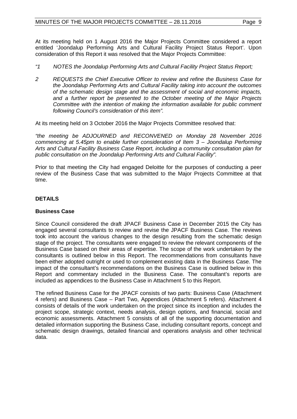At its meeting held on 1 August 2016 the Major Projects Committee considered a report entitled 'Joondalup Performing Arts and Cultural Facility Project Status Report'. Upon consideration of this Report it was resolved that the Major Projects Committee:

- *"1 NOTES the Joondalup Performing Arts and Cultural Facility Project Status Report;*
- *2 REQUESTS the Chief Executive Officer to review and refine the Business Case for the Joondalup Performing Arts and Cultural Facility taking into account the outcomes of the schematic design stage and the assessment of social and economic impacts, and a further report be presented to the October meeting of the Major Projects Committee with the intention of making the information available for public comment following Council's consideration of this item".*

At its meeting held on 3 October 2016 the Major Projects Committee resolved that:

*"the meeting be ADJOURNED and RECONVENED on Monday 28 November 2016 commencing at 5.45pm to enable further consideration of Item 3 – Joondalup Performing Arts and Cultural Facility Business Case Report, including a community consultation plan for public consultation on the Joondalup Performing Arts and Cultural Facility".*

Prior to that meeting the City had engaged Deloitte for the purposes of conducting a peer review of the Business Case that was submitted to the Major Projects Committee at that time.

# **DETAILS**

## **Business Case**

Since Council considered the draft JPACF Business Case in December 2015 the City has engaged several consultants to review and revise the JPACF Business Case. The reviews took into account the various changes to the design resulting from the schematic design stage of the project. The consultants were engaged to review the relevant components of the Business Case based on their areas of expertise. The scope of the work undertaken by the consultants is outlined below in this Report. The recommendations from consultants have been either adopted outright or used to complement existing data in the Business Case. The impact of the consultant's recommendations on the Business Case is outlined below in this Report and commentary included in the Business Case. The consultant's reports are included as appendices to the Business Case in Attachment 5 to this Report.

The refined Business Case for the JPACF consists of two parts: Business Case (Attachment 4 refers) and Business Case – Part Two, Appendices (Attachment 5 refers). Attachment 4 consists of details of the work undertaken on the project since its inception and includes the project scope, strategic context, needs analysis, design options, and financial, social and economic assessments. Attachment 5 consists of all of the supporting documentation and detailed information supporting the Business Case, including consultant reports, concept and schematic design drawings, detailed financial and operations analysis and other technical data.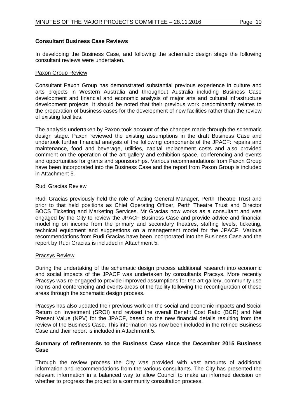#### **Consultant Business Case Reviews**

In developing the Business Case, and following the schematic design stage the following consultant reviews were undertaken.

#### Paxon Group Review

Consultant Paxon Group has demonstrated substantial previous experience in culture and arts projects in Western Australia and throughout Australia including Business Case development and financial and economic analysis of major arts and cultural infrastructure development projects. It should be noted that their previous work predominantly relates to the preparation of business cases for the development of new facilities rather than the review of existing facilities.

The analysis undertaken by Paxon took account of the changes made through the schematic design stage. Paxon reviewed the existing assumptions in the draft Business Case and undertook further financial analysis of the following components of the JPACF: repairs and maintenance, food and beverage, utilities, capital replacement costs and also provided comment on the operation of the art gallery and exhibition space, conferencing and events and opportunities for grants and sponsorships. Various recommendations from Paxon Group have been incorporated into the Business Case and the report from Paxon Group is included in Attachment 5.

#### Rudi Gracias Review

Rudi Gracias previously held the role of Acting General Manager, Perth Theatre Trust and prior to that held positions as Chief Operating Officer, Perth Theatre Trust and Director BOCS Ticketing and Marketing Services. Mr Gracias now works as a consultant and was engaged by the City to review the JPACF Business Case and provide advice and financial modelling on income from the primary and secondary theatres, staffing levels, ticketing, technical equipment and suggestions on a management model for the JPACF. Various recommendations from Rudi Gracias have been incorporated into the Business Case and the report by Rudi Gracias is included in Attachment 5.

#### Pracsys Review

During the undertaking of the schematic design process additional research into economic and social impacts of the JPACF was undertaken by consultants Pracsys. More recently Pracsys was re-engaged to provide improved assumptions for the art gallery, community use rooms and conferencing and events areas of the facility following the reconfiguration of these areas through the schematic design process.

Pracsys has also updated their previous work on the social and economic impacts and Social Return on Investment (SROI) and revised the overall Benefit Cost Ratio (BCR) and Net Present Value (NPV) for the JPACF, based on the new financial details resulting from the review of the Business Case. This information has now been included in the refined Business Case and their report is included in Attachment 5.

#### **Summary of refinements to the Business Case since the December 2015 Business Case**

Through the review process the City was provided with vast amounts of additional information and recommendations from the various consultants. The City has presented the relevant information in a balanced way to allow Council to make an informed decision on whether to progress the project to a community consultation process.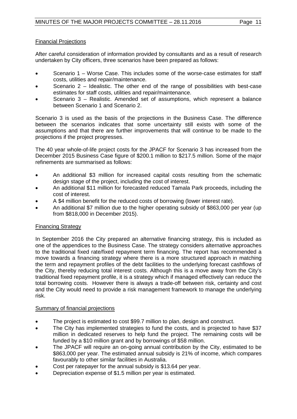# Financial Projections

After careful consideration of information provided by consultants and as a result of research undertaken by City officers, three scenarios have been prepared as follows:

- Scenario 1 Worse Case. This includes some of the worse-case estimates for staff costs, utilities and repair/maintenance.
- Scenario 2 Idealistic. The other end of the range of possibilities with best-case estimates for staff costs, utilities and repair/maintenance.
- Scenario 3 Realistic. Amended set of assumptions, which represent a balance between Scenario 1 and Scenario 2.

Scenario 3 is used as the basis of the projections in the Business Case. The difference between the scenarios indicates that some uncertainty still exists with some of the assumptions and that there are further improvements that will continue to be made to the projections if the project progresses.

The 40 year whole-of-life project costs for the JPACF for Scenario 3 has increased from the December 2015 Business Case figure of \$200.1 million to \$217.5 million. Some of the major refinements are summarised as follows:

- An additional \$3 million for increased capital costs resulting from the schematic design stage of the project, including the cost of interest.
- An additional \$11 million for forecasted reduced Tamala Park proceeds, including the cost of interest.
- A \$4 million benefit for the reduced costs of borrowing (lower interest rate).
- An additional \$7 million due to the higher operating subsidy of \$863,000 per year (up from \$818,000 in December 2015).

## Financing Strategy

In September 2016 the City prepared an alternative financing strategy, this is included as one of the appendices to the Business Case. The strategy considers alternative approaches to the traditional fixed rate/fixed repayment term financing. The report has recommended a move towards a financing strategy where there is a more structured approach in matching the term and repayment profiles of the debt facilities to the underlying forecast cashflows of the City, thereby reducing total interest costs. Although this is a move away from the City's traditional fixed repayment profile, it is a strategy which if managed effectively can reduce the total borrowing costs. However there is always a trade-off between risk, certainty and cost and the City would need to provide a risk management framework to manage the underlying risk.

## Summary of financial projections

- The project is estimated to cost \$99.7 million to plan, design and construct.
- The City has implemented strategies to fund the costs, and is projected to have \$37 million in dedicated reserves to help fund the project. The remaining costs will be funded by a \$10 million grant and by borrowings of \$58 million.
- The JPACF will require an on-going annual contribution by the City, estimated to be \$863,000 per year. The estimated annual subsidy is 21% of income, which compares favourably to other similar facilities in Australia.
- Cost per ratepayer for the annual subsidy is \$13.64 per year.
- Depreciation expense of \$1.5 million per year is estimated.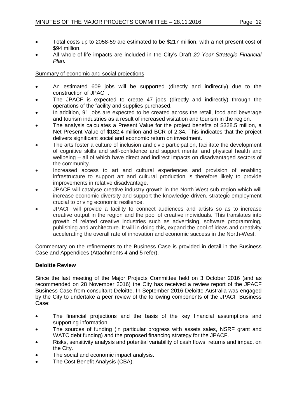- Total costs up to 2058-59 are estimated to be \$217 million, with a net present cost of \$94 million.
- All whole-of-life impacts are included in the City's Draft *20 Year Strategic Financial Plan.*

# Summary of economic and social projections

- An estimated 609 jobs will be supported (directly and indirectly) due to the construction of JPACF.
- The JPACF is expected to create 47 jobs (directly and indirectly) through the operations of the facility and supplies purchased.
- In addition, 91 jobs are expected to be created across the retail, food and beverage and tourism industries as a result of increased visitation and tourism in the region.
- The analysis calculates a Present Value for the project benefits of \$328.5 million, a Net Present Value of \$182.4 million and BCR of 2.34. This indicates that the project delivers significant social and economic return on investment.
- The arts foster a culture of inclusion and civic participation, facilitate the development of cognitive skills and self-confidence and support mental and physical health and wellbeing – all of which have direct and indirect impacts on disadvantaged sectors of the community.
- Increased access to art and cultural experiences and provision of enabling infrastructure to support art and cultural production is therefore likely to provide improvements in relative disadvantage.
- JPACF will catalyse creative industry growth in the North-West sub region which will increase economic diversity and support the knowledge-driven, strategic employment crucial to driving economic resilience.
- JPACF will provide a facility to connect audiences and artists so as to increase creative output in the region and the pool of creative individuals. This translates into growth of related creative industries such as advertising, software programming, publishing and architecture. It will in doing this, expand the pool of ideas and creativity accelerating the overall rate of innovation and economic success in the North-West.

Commentary on the refinements to the Business Case is provided in detail in the Business Case and Appendices (Attachments 4 and 5 refer).

## **Deloitte Review**

Since the last meeting of the Major Projects Committee held on 3 October 2016 (and as recommended on 28 November 2016) the City has received a review report of the JPACF Business Case from consultant Deloitte. In September 2016 Deloitte Australia was engaged by the City to undertake a peer review of the following components of the JPACF Business Case:

- The financial projections and the basis of the key financial assumptions and supporting information.
- The sources of funding (in particular progress with assets sales, NSRF grant and WATC debt funding) and the proposed financing strategy for the JPACF.
- Risks, sensitivity analysis and potential variability of cash flows, returns and impact on the City.
- The social and economic impact analysis.
- The Cost Benefit Analysis (CBA).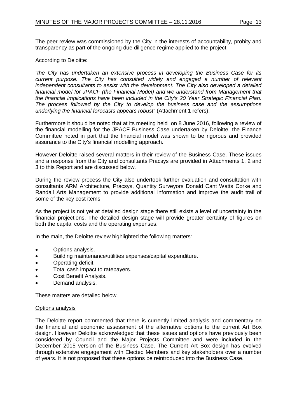The peer review was commissioned by the City in the interests of accountability, probity and transparency as part of the ongoing due diligence regime applied to the project.

According to Deloitte:

*"the City has undertaken an extensive process in developing the Business Case for its current purpose. The City has consulted widely and engaged a number of relevant independent consultants to assist with the development. The City also developed a detailed financial model for JPACF (the Financial Model) and we understand from Management that the financial implications have been included in the City's 20 Year Strategic Financial Plan. The process followed by the City to develop the business case and the assumptions underlying the financial forecasts appears robust"* (Attachment 1 refers).

Furthermore it should be noted that at its meeting held on 8 June 2016, following a review of the financial modelling for the JPACF Business Case undertaken by Deloitte, the Finance Committee noted in part that the financial model was shown to be rigorous and provided assurance to the City's financial modelling approach.

However Deloitte raised several matters in their review of the Business Case. These issues and a response from the City and consultants Pracsys are provided in Attachments 1, 2 and 3 to this Report and are discussed below.

During the review process the City also undertook further evaluation and consultation with consultants ARM Architecture, Pracsys, Quantity Surveyors Donald Cant Watts Corke and Randall Arts Management to provide additional information and improve the audit trail of some of the key cost items.

As the project is not yet at detailed design stage there still exists a level of uncertainty in the financial projections. The detailed design stage will provide greater certainty of figures on both the capital costs and the operating expenses.

In the main, the Deloitte review highlighted the following matters:

- Options analysis.
- Building maintenance/utilities expenses/capital expenditure.
- Operating deficit.
- Total cash impact to ratepayers.
- Cost Benefit Analysis.
- Demand analysis.

These matters are detailed below.

## Options analysis

The Deloitte report commented that there is currently limited analysis and commentary on the financial and economic assessment of the alternative options to the current Art Box design. However Deloitte acknowledged that these issues and options have previously been considered by Council and the Major Projects Committee and were included in the December 2015 version of the Business Case. The Current Art Box design has evolved through extensive engagement with Elected Members and key stakeholders over a number of years. It is not proposed that these options be reintroduced into the Business Case.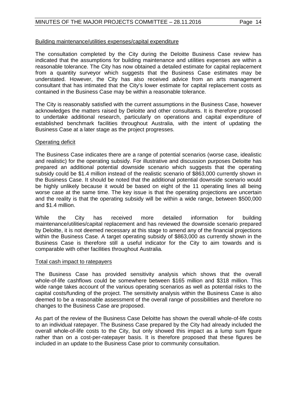#### Building maintenance/utilities expenses/capital expenditure

The consultation completed by the City during the Deloitte Business Case review has indicated that the assumptions for building maintenance and utilities expenses are within a reasonable tolerance. The City has now obtained a detailed estimate for capital replacement from a quantity surveyor which suggests that the Business Case estimates may be understated. However, the City has also received advice from an arts management consultant that has intimated that the City's lower estimate for capital replacement costs as contained in the Business Case may be within a reasonable tolerance.

The City is reasonably satisfied with the current assumptions in the Business Case, however acknowledges the matters raised by Deloitte and other consultants. It is therefore proposed to undertake additional research, particularly on operations and capital expenditure of established benchmark facilities throughout Australia, with the intent of updating the Business Case at a later stage as the project progresses.

#### Operating deficit

The Business Case indicates there are a range of potential scenarios (worse case, idealistic and realistic) for the operating subsidy. For illustrative and discussion purposes Deloitte has prepared an additional potential downside scenario which suggests that the operating subsidy could be \$1.4 million instead of the realistic scenario of \$863,000 currently shown in the Business Case. It should be noted that the additional potential downside scenario would be highly unlikely because it would be based on eight of the 11 operating lines all being worse case at the same time. The key issue is that the operating projections are uncertain and the reality is that the operating subsidy will be within a wide range, between \$500,000 and \$1.4 million.

While the City has received more detailed information for building maintenance/utilities/capital replacement and has reviewed the downside scenario prepared by Deloitte, it is not deemed necessary at this stage to amend any of the financial projections within the Business Case. A target operating subsidy of \$863,000 as currently shown in the Business Case is therefore still a useful indicator for the City to aim towards and is comparable with other facilities throughout Australia.

#### Total cash impact to ratepayers

The Business Case has provided sensitivity analysis which shows that the overall whole-of-life cashflows could be somewhere between \$165 million and \$318 million. This wide range takes account of the various operating scenarios as well as potential risks to the capital costs/funding of the project. The sensitivity analysis within the Business Case is also deemed to be a reasonable assessment of the overall range of possibilities and therefore no changes to the Business Case are proposed.

As part of the review of the Business Case Deloitte has shown the overall whole-of-life costs to an individual ratepayer. The Business Case prepared by the City had already included the overall whole-of-life costs to the City, but only showed this impact as a lump sum figure rather than on a cost-per-ratepayer basis. It is therefore proposed that these figures be included in an update to the Business Case prior to community consultation.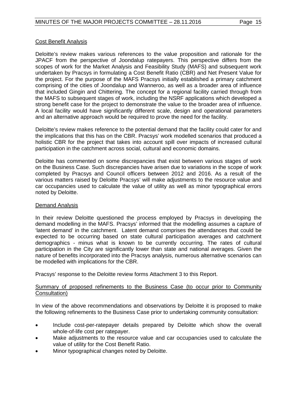#### Cost Benefit Analysis

Deloitte's review makes various references to the value proposition and rationale for the JPACF from the perspective of Joondalup ratepayers. This perspective differs from the scopes of work for the Market Analysis and Feasibility Study (MAFS) and subsequent work undertaken by Pracsys in formulating a Cost Benefit Ratio (CBR) and Net Present Value for the project. For the purpose of the MAFS Pracsys initially established a primary catchment comprising of the cities of Joondalup and Wanneroo, as well as a broader area of influence that included Gingin and Chittering. The concept for a regional facility carried through from the MAFS to subsequent stages of work, including the NSRF applications which developed a strong benefit case for the project to demonstrate the value to the broader area of influence. A local facility would have significantly different scale, design and operational parameters and an alternative approach would be required to prove the need for the facility.

Deloitte's review makes reference to the potential demand that the facility could cater for and the implications that this has on the CBR. Pracsys' work modelled scenarios that produced a holistic CBR for the project that takes into account spill over impacts of increased cultural participation in the catchment across social, cultural and economic domains.

Deloitte has commented on some discrepancies that exist between various stages of work on the Business Case. Such discrepancies have arisen due to variations in the scope of work completed by Pracsys and Council officers between 2012 and 2016. As a result of the various matters raised by Deloitte Pracsys' will make adjustments to the resource value and car occupancies used to calculate the value of utility as well as minor typographical errors noted by Deloitte.

## Demand Analysis

In their review Deloitte questioned the process employed by Pracsys in developing the demand modelling in the MAFS. Pracsys' informed that the modelling assumes a capture of 'latent demand' in the catchment. Latent demand comprises the attendances that could be expected to be occurring based on state cultural participation averages and catchment demographics - minus what is known to be currently occurring. The rates of cultural participation in the City are significantly lower than state and national averages. Given the nature of benefits incorporated into the Pracsys analysis, numerous alternative scenarios can be modelled with implications for the CBR.

Pracsys' response to the Deloitte review forms Attachment 3 to this Report.

## Summary of proposed refinements to the Business Case (to occur prior to Community Consultation)

In view of the above recommendations and observations by Deloitte it is proposed to make the following refinements to the Business Case prior to undertaking community consultation:

- Include cost-per-ratepayer details prepared by Deloitte which show the overall whole-of-life cost per ratepayer.
- Make adjustments to the resource value and car occupancies used to calculate the value of utility for the Cost Benefit Ratio.
- Minor typographical changes noted by Deloitte.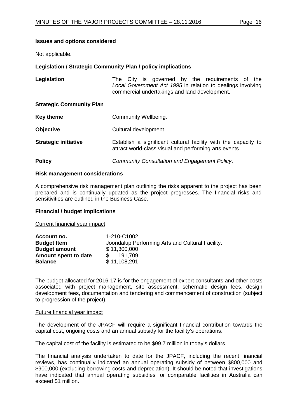#### **Issues and options considered**

Not applicable.

#### **Legislation / Strategic Community Plan / policy implications**

| Legislation                     | The City is governed by the requirements of the<br>Local Government Act 1995 in relation to dealings involving<br>commercial undertakings and land development. |
|---------------------------------|-----------------------------------------------------------------------------------------------------------------------------------------------------------------|
| <b>Strategic Community Plan</b> |                                                                                                                                                                 |
| <b>Key theme</b>                | Community Wellbeing.                                                                                                                                            |
| <b>Objective</b>                | Cultural development.                                                                                                                                           |
| <b>Strategic initiative</b>     | Establish a significant cultural facility with the capacity to<br>attract world-class visual and performing arts events.                                        |
| <b>Policy</b>                   | <b>Community Consultation and Engagement Policy.</b>                                                                                                            |

#### **Risk management considerations**

A comprehensive risk management plan outlining the risks apparent to the project has been prepared and is continually updated as the project progresses. The financial risks and sensitivities are outlined in the Business Case.

#### **Financial / budget implications**

Current financial year impact

| Account no.          | 1-210-C1002                                      |
|----------------------|--------------------------------------------------|
| <b>Budget Item</b>   | Joondalup Performing Arts and Cultural Facility. |
| <b>Budget amount</b> | \$11,300,000                                     |
| Amount spent to date | 191.709<br>SS.                                   |
| <b>Balance</b>       | \$11,108,291                                     |

The budget allocated for 2016-17 is for the engagement of expert consultants and other costs associated with project management, site assessment, schematic design fees, design development fees, documentation and tendering and commencement of construction (subject to progression of the project).

#### Future financial year impact

The development of the JPACF will require a significant financial contribution towards the capital cost, ongoing costs and an annual subsidy for the facility's operations.

The capital cost of the facility is estimated to be \$99.7 million in today's dollars.

The financial analysis undertaken to date for the JPACF, including the recent financial reviews, has continually indicated an annual operating subsidy of between \$800,000 and \$900,000 (excluding borrowing costs and depreciation). It should be noted that investigations have indicated that annual operating subsidies for comparable facilities in Australia can exceed \$1 million.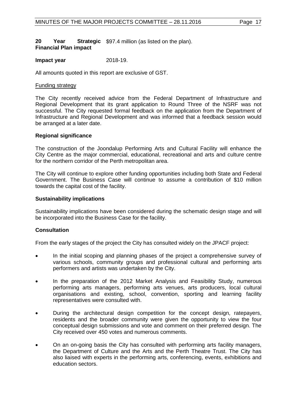#### **20 • Year Strategic** \$97.4 million (as listed on the plan). **Financial Plan impact**

#### **Impact year** 2018-19.

All amounts quoted in this report are exclusive of GST.

#### Funding strategy

The City recently received advice from the Federal Department of Infrastructure and Regional Development that its grant application to Round Three of the NSRF was not successful. The City requested formal feedback on the application from the Department of Infrastructure and Regional Development and was informed that a feedback session would be arranged at a later date.

#### **Regional significance**

The construction of the Joondalup Performing Arts and Cultural Facility will enhance the City Centre as the major commercial, educational, recreational and arts and culture centre for the northern corridor of the Perth metropolitan area.

The City will continue to explore other funding opportunities including both State and Federal Government. The Business Case will continue to assume a contribution of \$10 million towards the capital cost of the facility.

#### **Sustainability implications**

Sustainability implications have been considered during the schematic design stage and will be incorporated into the Business Case for the facility.

## **Consultation**

From the early stages of the project the City has consulted widely on the JPACF project:

- In the initial scoping and planning phases of the project a comprehensive survey of various schools, community groups and professional cultural and performing arts performers and artists was undertaken by the City.
- In the preparation of the 2012 Market Analysis and Feasibility Study, numerous performing arts managers, performing arts venues, arts producers, local cultural organisations and existing, school, convention, sporting and learning facility representatives were consulted with.
- During the architectural design competition for the concept design, ratepayers, residents and the broader community were given the opportunity to view the four conceptual design submissions and vote and comment on their preferred design. The City received over 450 votes and numerous comments.
- On an on-going basis the City has consulted with performing arts facility managers, the Department of Culture and the Arts and the Perth Theatre Trust. The City has also liaised with experts in the performing arts, conferencing, events, exhibitions and education sectors.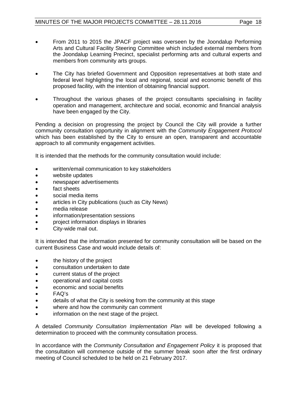- From 2011 to 2015 the JPACF project was overseen by the Joondalup Performing Arts and Cultural Facility Steering Committee which included external members from the Joondalup Learning Precinct, specialist performing arts and cultural experts and
- The City has briefed Government and Opposition representatives at both state and federal level highlighting the local and regional, social and economic benefit of this proposed facility, with the intention of obtaining financial support.
- Throughout the various phases of the project consultants specialising in facility operation and management, architecture and social, economic and financial analysis have been engaged by the City.

Pending a decision on progressing the project by Council the City will provide a further community consultation opportunity in alignment with the *Community Engagement Protocol*  which has been established by the City to ensure an open, transparent and accountable approach to all community engagement activities.

It is intended that the methods for the community consultation would include:

written/email communication to key stakeholders

members from community arts groups.

- website updates
- newspaper advertisements
- fact sheets
- social media items
- articles in City publications (such as City News)
- media release
- information/presentation sessions
- project information displays in libraries
- City-wide mail out.

It is intended that the information presented for community consultation will be based on the current Business Case and would include details of:

- the history of the project
- consultation undertaken to date
- current status of the project
- operational and capital costs
- economic and social benefits
- FAQ's
- details of what the City is seeking from the community at this stage
- where and how the community can comment
- information on the next stage of the project.

A detailed *Community Consultation Implementation Plan* will be developed following a determination to proceed with the community consultation process.

In accordance with the *Community Consultation and Engagement Policy* it is proposed that the consultation will commence outside of the summer break soon after the first ordinary meeting of Council scheduled to be held on 21 February 2017.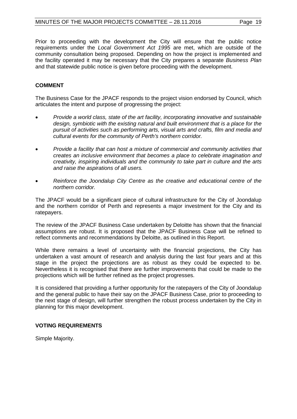Prior to proceeding with the development the City will ensure that the public notice requirements under the *Local Government Act 1995* are met, which are outside of the community consultation being proposed. Depending on how the project is implemented and the facility operated it may be necessary that the City prepares a separate *Business Plan* and that statewide public notice is given before proceeding with the development.

# **COMMENT**

The Business Case for the JPACF responds to the project vision endorsed by Council, which articulates the intent and purpose of progressing the project:

- *Provide a world class, state of the art facility, incorporating innovative and sustainable design, symbiotic with the existing natural and built environment that is a place for the pursuit of activities such as performing arts, visual arts and crafts, film and media and cultural events for the community of Perth's northern corridor.*
- *Provide a facility that can host a mixture of commercial and community activities that creates an inclusive environment that becomes a place to celebrate imagination and creativity, inspiring individuals and the community to take part in culture and the arts and raise the aspirations of all users.*
- *Reinforce the Joondalup City Centre as the creative and educational centre of the northern corridor.*

The JPACF would be a significant piece of cultural infrastructure for the City of Joondalup and the northern corridor of Perth and represents a major investment for the City and its ratepayers.

The review of the JPACF Business Case undertaken by Deloitte has shown that the financial assumptions are robust. It is proposed that the JPACF Business Case will be refined to reflect comments and recommendations by Deloitte, as outlined in this Report.

While there remains a level of uncertainty with the financial projections, the City has undertaken a vast amount of research and analysis during the last four years and at this stage in the project the projections are as robust as they could be expected to be. Nevertheless it is recognised that there are further improvements that could be made to the projections which will be further refined as the project progresses.

It is considered that providing a further opportunity for the ratepayers of the City of Joondalup and the general public to have their say on the JPACF Business Case, prior to proceeding to the next stage of design, will further strengthen the robust process undertaken by the City in planning for this major development.

## **VOTING REQUIREMENTS**

Simple Majority.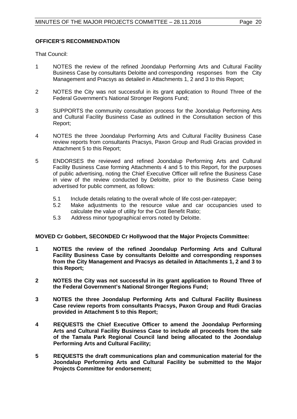# **OFFICER'S RECOMMENDATION**

That Council:

- 1 NOTES the review of the refined Joondalup Performing Arts and Cultural Facility Business Case by consultants Deloitte and corresponding responses from the City Management and Pracsys as detailed in Attachments 1, 2 and 3 to this Report;
- 2 NOTES the City was not successful in its grant application to Round Three of the Federal Government's National Stronger Regions Fund;
- 3 SUPPORTS the community consultation process for the Joondalup Performing Arts and Cultural Facility Business Case as outlined in the Consultation section of this Report;
- 4 NOTES the three Joondalup Performing Arts and Cultural Facility Business Case review reports from consultants Pracsys, Paxon Group and Rudi Gracias provided in Attachment 5 to this Report;
- 5 ENDORSES the reviewed and refined Joondalup Performing Arts and Cultural Facility Business Case forming Attachments 4 and 5 to this Report, for the purposes of public advertising, noting the Chief Executive Officer will refine the Business Case in view of the review conducted by Deloitte, prior to the Business Case being advertised for public comment, as follows:
	- 5.1 Include details relating to the overall whole of life cost-per-ratepayer;<br>5.2 Make adiustments to the resource value and car occupancies
	- Make adjustments to the resource value and car occupancies used to calculate the value of utility for the Cost Benefit Ratio;
	- 5.3 Address minor typographical errors noted by Deloitte.

## **MOVED Cr Gobbert, SECONDED Cr Hollywood that the Major Projects Committee:**

- **1 NOTES the review of the refined Joondalup Performing Arts and Cultural Facility Business Case by consultants Deloitte and corresponding responses from the City Management and Pracsys as detailed in Attachments 1, 2 and 3 to this Report;**
- **2 NOTES the City was not successful in its grant application to Round Three of the Federal Government's National Stronger Regions Fund;**
- **3 NOTES the three Joondalup Performing Arts and Cultural Facility Business Case review reports from consultants Pracsys, Paxon Group and Rudi Gracias provided in Attachment 5 to this Report;**
- **4 REQUESTS the Chief Executive Officer to amend the Joondalup Performing Arts and Cultural Facility Business Case to include all proceeds from the sale of the Tamala Park Regional Council land being allocated to the Joondalup Performing Arts and Cultural Facility;**
- **5 REQUESTS the draft communications plan and communication material for the Joondalup Performing Arts and Cultural Facility be submitted to the Major Projects Committee for endorsement;**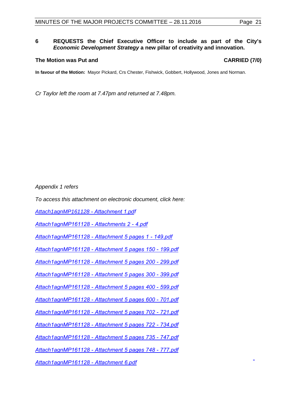#### **6 REQUESTS the Chief Executive Officer to include as part of the City's**  *Economic Development Strategy* **a new pillar of creativity and innovation.**

#### **The Motion was Put and CARRIED (7/0)**

**In favour of the Motion:** Mayor Pickard, Crs Chester, Fishwick, Gobbert, Hollywood, Jones and Norman.

*Cr Taylor left the room at 7.47pm and returned at 7.48pm.*

*Appendix 1 refers* 

*To access this attachment on electronic document, click here:* 

*[Attach1agnMP161128](http://www.joondalup.wa.gov.au/files/committees/MAPC/2016/Attach1agnMP161128 - Attachment 1.pdf) - Attachment 1.pdf*

*[Attach1agnMP161128 - Attachments 2 - 4.pdf](http://www.joondalup.wa.gov.au/files/committees/MAPC/2016/Attach1agnMP161128 - Attachments 2 - 4.pdf)*

*[Attach1agnMP161128 - Attachment 5 pages 1 - 149.pdf](http://www.joondalup.wa.gov.au/files/committees/MAPC/2016/Attach1agnMP161128 - Attachment 5 pages 1 - 149.pdf)*

*[Attach1agnMP161128 - Attachment 5 pages 150 - 199.pdf](http://www.joondalup.wa.gov.au/files/committees/MAPC/2016/Attach1agnMP161128 - Attachment 5 pages 150 - 199.pdf)*

*[Attach1agnMP161128 - Attachment 5 pages 200 - 299.pdf](http://www.joondalup.wa.gov.au/files/committees/MAPC/2016/Attach1agnMP161128 - Attachment 5 pages 200 - 299.pdf)*

*[Attach1agnMP161128 - Attachment 5 pages 300 - 399.pdf](http://www.joondalup.wa.gov.au/files/committees/MAPC/2016/Attach1agnMP161128 - Attachment 5 pages 300 - 399.pdf)*

*[Attach1agnMP161128 - Attachment 5 pages 400 - 599.pdf](http://www.joondalup.wa.gov.au/files/committees/MAPC/2016/Attach1agnMP161128 - Attachment 5 pages 400 - 599.pdf)*

*[Attach1agnMP161128 - Attachment 5 pages 600 - 701.pdf](http://www.joondalup.wa.gov.au/files/committees/MAPC/2016/Attach1agnMP161128 - Attachment 5 pages 600 - 701.pdf)*

*[Attach1agnMP161128 - Attachment 5 pages 702 - 721.pdf](http://www.joondalup.wa.gov.au/files/committees/MAPC/2016/Attach1agnMP161128 - Attachment 5 pages 702 - 721.pdf)*

*[Attach1agnMP161128 - Attachment 5 pages 722 - 734.pdf](http://www.joondalup.wa.gov.au/files/committees/MAPC/2016/Attach1agnMP161128 - Attachment 5 pages 722 - 734.pdf)*

*[Attach1agnMP161128 - Attachment 5 pages 735 - 747.pdf](http://www.joondalup.wa.gov.au/files/committees/MAPC/2016/Attach1agnMP161128 - Attachment 5 pages 735 - 747.pdf)*

*[Attach1agnMP161128 - Attachment 5 pages 748 - 777.pdf](http://www.joondalup.wa.gov.au/files/committees/MAPC/2016/Attach1agnMP161128 - Attachment 5 pages 748 - 777.pdf)*

*[Attach1agnMP161128 - Attachment 6.pdf](http://www.joondalup.wa.gov.au/files/committees/MAPC/2016/Attach1agnMP161128 - Attachment 6.pdf)*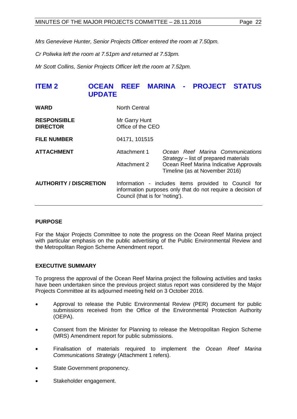*Mrs Genevieve Hunter, Senior Projects Officer entered the room at 7.50pm.*

*Cr Poliwka left the room at 7.51pm and returned at 7.53pm.*

*Mr Scott Collins, Senior Projects Officer left the room at 7.52pm.*

# <span id="page-21-0"></span>**ITEM 2 OCEAN REEF MARINA - PROJECT STATUS UPDATE**

| <b>WARD</b>                           | <b>North Central</b>                                                                                                                                   |                                                                           |
|---------------------------------------|--------------------------------------------------------------------------------------------------------------------------------------------------------|---------------------------------------------------------------------------|
| <b>RESPONSIBLE</b><br><b>DIRECTOR</b> | Mr Garry Hunt<br>Office of the CEO                                                                                                                     |                                                                           |
| <b>FILE NUMBER</b>                    | 04171, 101515                                                                                                                                          |                                                                           |
| <b>ATTACHMENT</b>                     | Attachment 1                                                                                                                                           | Ocean Reef Marina Communications<br>Strategy – list of prepared materials |
|                                       | Attachment 2                                                                                                                                           | Ocean Reef Marina Indicative Approvals<br>Timeline (as at November 2016)  |
| <b>AUTHORITY / DISCRETION</b>         | Information - includes items provided to Council for<br>information purposes only that do not require a decision of<br>Council (that is for 'noting'). |                                                                           |

## **PURPOSE**

For the Major Projects Committee to note the progress on the Ocean Reef Marina project with particular emphasis on the public advertising of the Public Environmental Review and the Metropolitan Region Scheme Amendment report.

## **EXECUTIVE SUMMARY**

To progress the approval of the Ocean Reef Marina project the following activities and tasks have been undertaken since the previous project status report was considered by the Major Projects Committee at its adjourned meeting held on 3 October 2016.

- Approval to release the Public Environmental Review (PER) document for public submissions received from the Office of the Environmental Protection Authority (OEPA).
- Consent from the Minister for Planning to release the Metropolitan Region Scheme (MRS) Amendment report for public submissions.
- Finalisation of materials required to implement the *Ocean Reef Marina Communications Strategy* (Attachment 1 refers).
- State Government proponency.
- Stakeholder engagement.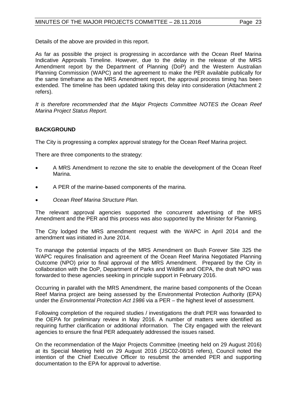Details of the above are provided in this report.

As far as possible the project is progressing in accordance with the Ocean Reef Marina Indicative Approvals Timeline. However, due to the delay in the release of the MRS Amendment report by the Department of Planning (DoP) and the Western Australian Planning Commission (WAPC) and the agreement to make the PER available publically for the same timeframe as the MRS Amendment report, the approval process timing has been extended. The timeline has been updated taking this delay into consideration (Attachment 2 refers).

*It is therefore recommended that the Major Projects Committee NOTES the Ocean Reef Marina Project Status Report.*

# **BACKGROUND**

The City is progressing a complex approval strategy for the Ocean Reef Marina project.

There are three components to the strategy:

- A MRS Amendment to rezone the site to enable the development of the Ocean Reef Marina.
- A PER of the marine-based components of the marina.
- *Ocean Reef Marina Structure Plan.*

The relevant approval agencies supported the concurrent advertising of the MRS Amendment and the PER and this process was also supported by the Minister for Planning.

The City lodged the MRS amendment request with the WAPC in April 2014 and the amendment was initiated in June 2014.

To manage the potential impacts of the MRS Amendment on Bush Forever Site 325 the WAPC requires finalisation and agreement of the Ocean Reef Marina Negotiated Planning Outcome (NPO) prior to final approval of the MRS Amendment. Prepared by the City in collaboration with the DoP, Department of Parks and Wildlife and OEPA, the draft NPO was forwarded to these agencies seeking in principle support in February 2016.

Occurring in parallel with the MRS Amendment, the marine based components of the Ocean Reef Marina project are being assessed by the Environmental Protection Authority (EPA) under the *Environmental Protection Act 1986* via a PER – the highest level of assessment.

Following completion of the required studies / investigations the draft PER was forwarded to the OEPA for preliminary review in May 2016. A number of matters were identified as requiring further clarification or additional information. The City engaged with the relevant agencies to ensure the final PER adequately addressed the issues raised.

On the recommendation of the Major Projects Committee (meeting held on 29 August 2016) at its Special Meeting held on 29 August 2016 (JSC02-08/16 refers), Council noted the intention of the Chief Executive Officer to resubmit the amended PER and supporting documentation to the EPA for approval to advertise.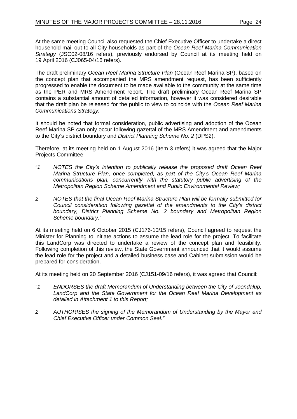At the same meeting Council also requested the Chief Executive Officer to undertake a direct household mail-out to all City households as part of the *Ocean Reef Marina Communication Strategy* (JSC02-08/16 refers), previously endorsed by Council at its meeting held on 19 April 2016 (CJ065-04/16 refers).

The draft preliminary *Ocean Reef Marina Structure Plan* (Ocean Reef Marina SP), based on the concept plan that accompanied the MRS amendment request, has been sufficiently progressed to enable the document to be made available to the community at the same time as the PER and MRS Amendment report. The draft preliminary Ocean Reef Marina SP contains a substantial amount of detailed information, however it was considered desirable that the draft plan be released for the public to view to coincide with the *Ocean Reef Marina Communications Strategy.* 

It should be noted that formal consideration, public advertising and adoption of the Ocean Reef Marina SP can only occur following gazettal of the MRS Amendment and amendments to the City's district boundary and *District Planning Scheme No. 2* (DPS2).

Therefore, at its meeting held on 1 August 2016 (Item 3 refers) it was agreed that the Major Projects Committee:

- *"1 NOTES the City's intention to publically release the proposed draft Ocean Reef Marina Structure Plan, once completed, as part of the City's Ocean Reef Marina communications plan, concurrently with the statutory public advertising of the Metropolitan Region Scheme Amendment and Public Environmental Review;*
- *2 NOTES that the final Ocean Reef Marina Structure Plan will be formally submitted for Council consideration following gazettal of the amendments to the City's district boundary, District Planning Scheme No. 2 boundary and Metropolitan Region Scheme boundary."*

At its meeting held on 6 October 2015 (CJ176-10/15 refers), Council agreed to request the Minister for Planning to initiate actions to assume the lead role for the project. To facilitate this LandCorp was directed to undertake a review of the concept plan and feasibility. Following completion of this review, the State Government announced that it would assume the lead role for the project and a detailed business case and Cabinet submission would be prepared for consideration.

At its meeting held on 20 September 2016 (CJ151-09/16 refers), it was agreed that Council:

- *"1 ENDORSES the draft Memorandum of Understanding between the City of Joondalup, LandCorp and the State Government for the Ocean Reef Marina Development as detailed in Attachment 1 to this Report;*
- *2 AUTHORISES the signing of the Memorandum of Understanding by the Mayor and Chief Executive Officer under Common Seal."*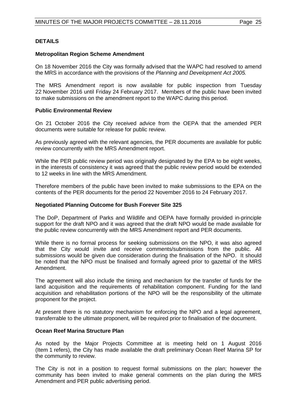# **DETAILS**

### **Metropolitan Region Scheme Amendment**

On 18 November 2016 the City was formally advised that the WAPC had resolved to amend the MRS in accordance with the provisions of the *Planning and Development Act 2005.*

The MRS Amendment report is now available for public inspection from Tuesday 22 November 2016 until Friday 24 February 2017. Members of the public have been invited to make submissions on the amendment report to the WAPC during this period.

#### **Public Environmental Review**

On 21 October 2016 the City received advice from the OEPA that the amended PER documents were suitable for release for public review.

As previously agreed with the relevant agencies, the PER documents are available for public review concurrently with the MRS Amendment report.

While the PER public review period was originally designated by the EPA to be eight weeks, in the interests of consistency it was agreed that the public review period would be extended to 12 weeks in line with the MRS Amendment.

Therefore members of the public have been invited to make submissions to the EPA on the contents of the PER documents for the period 22 November 2016 to 24 February 2017.

#### **Negotiated Planning Outcome for Bush Forever Site 325**

The DoP, Department of Parks and Wildlife and OEPA have formally provided in-principle support for the draft NPO and it was agreed that the draft NPO would be made available for the public review concurrently with the MRS Amendment report and PER documents.

While there is no formal process for seeking submissions on the NPO, it was also agreed that the City would invite and receive comments/submissions from the public. All submissions would be given due consideration during the finalisation of the NPO. It should be noted that the NPO must be finalised and formally agreed prior to gazettal of the MRS Amendment.

The agreement will also include the timing and mechanism for the transfer of funds for the land acquisition and the requirements of rehabilitation component. Funding for the land acquisition and rehabilitation portions of the NPO will be the responsibility of the ultimate proponent for the project.

At present there is no statutory mechanism for enforcing the NPO and a legal agreement, transferrable to the ultimate proponent, will be required prior to finalisation of the document.

## **Ocean Reef Marina Structure Plan**

As noted by the Major Projects Committee at is meeting held on 1 August 2016 (Item 1 refers), the City has made available the draft preliminary Ocean Reef Marina SP for the community to review.

The City is not in a position to request formal submissions on the plan; however the community has been invited to make general comments on the plan during the MRS Amendment and PER public advertising period.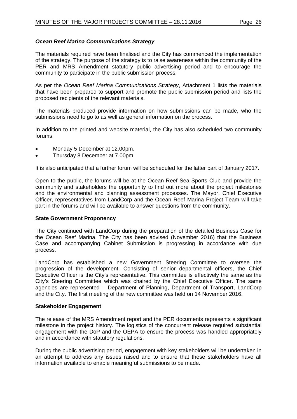## *Ocean Reef Marina Communications Strategy*

The materials required have been finalised and the City has commenced the implementation of the strategy. The purpose of the strategy is to raise awareness within the community of the PER and MRS Amendment statutory public advertising period and to encourage the community to participate in the public submission process.

As per the *Ocean Reef Marina Communications Strategy*, Attachment 1 lists the materials that have been prepared to support and promote the public submission period and lists the proposed recipients of the relevant materials.

The materials produced provide information on how submissions can be made, who the submissions need to go to as well as general information on the process.

In addition to the printed and website material, the City has also scheduled two community forums:

- Monday 5 December at 12.00pm.
- Thursday 8 December at 7.00pm.

It is also anticipated that a further forum will be scheduled for the latter part of January 2017.

Open to the public, the forums will be at the Ocean Reef Sea Sports Club and provide the community and stakeholders the opportunity to find out more about the project milestones and the environmental and planning assessment processes. The Mayor, Chief Executive Officer, representatives from LandCorp and the Ocean Reef Marina Project Team will take part in the forums and will be available to answer questions from the community.

## **State Government Proponency**

The City continued with LandCorp during the preparation of the detailed Business Case for the Ocean Reef Marina. The City has been advised (November 2016) that the Business Case and accompanying Cabinet Submission is progressing in accordance with due process.

LandCorp has established a new Government Steering Committee to oversee the progression of the development. Consisting of senior departmental officers, the Chief Executive Officer is the City's representative. This committee is effectively the same as the City's Steering Committee which was chaired by the Chief Executive Officer. The same agencies are represented – Department of Planning, Department of Transport, LandCorp and the City. The first meeting of the new committee was held on 14 November 2016.

## **Stakeholder Engagement**

The release of the MRS Amendment report and the PER documents represents a significant milestone in the project history. The logistics of the concurrent release required substantial engagement with the DoP and the OEPA to ensure the process was handled appropriately and in accordance with statutory regulations.

During the public advertising period, engagement with key stakeholders will be undertaken in an attempt to address any issues raised and to ensure that these stakeholders have all information available to enable meaningful submissions to be made.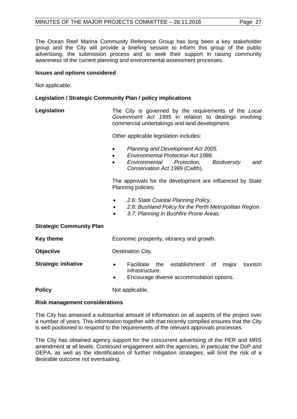The Ocean Reef Marina Community Reference Group has long been a key stakeholder group and the City will provide a briefing session to inform this group of the public advertising, the submission process and to seek their support in raising community awareness of the current planning and environmental assessment processes.

#### **Issues and options considered**

Not applicable.

#### **Legislation / Strategic Community Plan / policy implications**

**Legislation** The City is governed by the requirements of the *Local Government Act 1995* in relation to dealings involving commercial undertakings and land development.

Other applicable legislation includes:

- *Planning and Development Act 2005.*
- *Environmental Protection Act 1986.*
- *Environmental Protection, Biodiversity and Conservation Act 1999* (Cwlth).

The approvals for the development are influenced by State Planning policies:

- *2.6: State Coastal Planning Policy.*
- *2.8: Bushland Policy for the Perth Metropolitan Region.*
- *3.7: Planning in Bushfire Prone Areas.*

#### **Strategic Community Plan**

**Key theme** Economic prosperity, vibrancy and growth.

**Objective** Destination City.

- **Strategic initiative •** Facilitate the establishment of major tourism infrastructure.
	- Encourage diverse accommodation options.

**Policy** Not applicable.

#### **Risk management considerations**

The City has amassed a substantial amount of information on all aspects of the project over a number of years. This information together with that recently compiled ensures that the City is well positioned to respond to the requirements of the relevant approvals processes.

The City has obtained agency support for the concurrent advertising of the PER and MRS amendment at all levels. Continued engagement with the agencies, in particular the DoP and OEPA, as well as the identification of further mitigation strategies, will limit the risk of a desirable outcome not eventuating.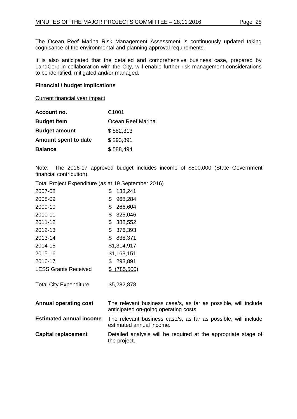The Ocean Reef Marina Risk Management Assessment is continuously updated taking cognisance of the environmental and planning approval requirements.

It is also anticipated that the detailed and comprehensive business case, prepared by LandCorp in collaboration with the City, will enable further risk management considerations to be identified, mitigated and/or managed.

### **Financial / budget implications**

Current financial year impact

| Account no.          | C <sub>1001</sub>  |
|----------------------|--------------------|
| <b>Budget Item</b>   | Ocean Reef Marina. |
| <b>Budget amount</b> | \$882,313          |
| Amount spent to date | \$293,891          |
| <b>Balance</b>       | \$588,494          |

Note: The 2016-17 approved budget includes income of \$500,000 (State Government financial contribution).

Total Project Expenditure (as at 19 September 2016)

| 2007-08                        | \$<br>133,241                                                                                           |
|--------------------------------|---------------------------------------------------------------------------------------------------------|
| 2008-09                        | 968,284<br>\$                                                                                           |
| 2009-10                        | \$<br>266,604                                                                                           |
| 2010-11                        | 325,046<br>\$                                                                                           |
| 2011-12                        | \$<br>388,552                                                                                           |
| 2012-13                        | 376,393<br>\$                                                                                           |
| 2013-14                        | \$<br>838,371                                                                                           |
| 2014-15                        | \$1,314,917                                                                                             |
| 2015-16                        | \$1,163,151                                                                                             |
| 2016-17                        | 293,891<br>\$.                                                                                          |
| <b>LESS Grants Received</b>    | $$^{(785,500)}$                                                                                         |
|                                |                                                                                                         |
| <b>Total City Expenditure</b>  | \$5,282,878                                                                                             |
|                                |                                                                                                         |
| <b>Annual operating cost</b>   | The relevant business case/s, as far as possible, will include<br>anticipated on-going operating costs. |
| <b>Estimated annual income</b> | The relevant business case/s, as far as possible, will include<br>estimated annual income.              |
| <b>Capital replacement</b>     | Detailed analysis will be required at the appropriate stage of<br>the project.                          |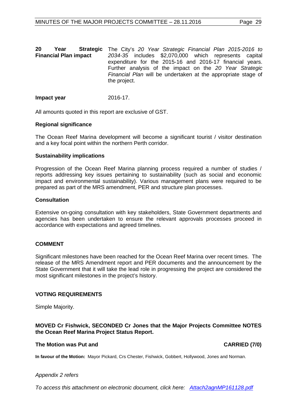| 20                           | Year | <b>Strategic</b> The City's 20 Year Strategic Financial Plan 2015-2016 to |
|------------------------------|------|---------------------------------------------------------------------------|
| <b>Financial Plan impact</b> |      | 2034-35 includes \$2,070,000 which represents capital                     |
|                              |      | expenditure for the 2015-16 and 2016-17 financial years.                  |
|                              |      | Further analysis of the impact on the 20 Year Strategic                   |
|                              |      | Financial Plan will be undertaken at the appropriate stage of             |
|                              |      | the project.                                                              |

#### **Impact year** 2016-17.

All amounts quoted in this report are exclusive of GST.

#### **Regional significance**

The Ocean Reef Marina development will become a significant tourist / visitor destination and a key focal point within the northern Perth corridor.

#### **Sustainability implications**

Progression of the Ocean Reef Marina planning process required a number of studies / reports addressing key issues pertaining to sustainability (such as social and economic impact and environmental sustainability). Various management plans were required to be prepared as part of the MRS amendment, PER and structure plan processes.

#### **Consultation**

Extensive on-going consultation with key stakeholders, State Government departments and agencies has been undertaken to ensure the relevant approvals processes proceed in accordance with expectations and agreed timelines.

## **COMMENT**

Significant milestones have been reached for the Ocean Reef Marina over recent times. The release of the MRS Amendment report and PER documents and the announcement by the State Government that it will take the lead role in progressing the project are considered the most significant milestones in the project's history.

## **VOTING REQUIREMENTS**

Simple Majority.

#### **MOVED Cr Fishwick, SECONDED Cr Jones that the Major Projects Committee NOTES the Ocean Reef Marina Project Status Report.**

#### **The Motion was Put and CARRIED (7/0)**

**In favour of the Motion:** Mayor Pickard, Crs Chester, Fishwick, Gobbert, Hollywood, Jones and Norman.

#### *Appendix 2 refers*

*[To access this attachment on electronic document, click here: Attach2agnMP161128.pdf](http://www.joondalup.wa.gov.au/files/committees/MAPC/2016/Attach2agnMP161128.pdf)*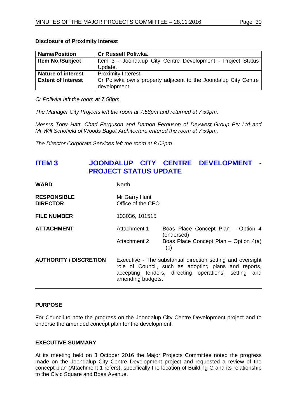#### **Disclosure of Proximity Interest**

| <b>Name/Position</b>      | <b>Cr Russell Poliwka.</b>                                     |
|---------------------------|----------------------------------------------------------------|
| <b>Item No./Subject</b>   | Item 3 - Joondalup City Centre Development - Project Status    |
|                           | Update.                                                        |
| <b>Nature of interest</b> | <b>Proximity Interest.</b>                                     |
| <b>Extent of Interest</b> | Cr Poliwka owns property adjacent to the Joondalup City Centre |
|                           | development.                                                   |

*Cr Poliwka left the room at 7.58pm.* 

*The Manager City Projects left the room at 7.58pm and returned at 7.59pm.*

*Messrs Tony Hatt, Chad Ferguson and Damon Ferguson of Devwest Group Pty Ltd and Mr Will Schofield of Woods Bagot Architecture entered the room at 7.59pm.*

*The Director Corporate Services left the room at 8.02pm.* 

# <span id="page-29-0"></span>**ITEM 3 JOONDALUP CITY CENTRE DEVELOPMENT - PROJECT STATUS UPDATE**

| <b>WARD</b>                           | <b>North</b>                                                                                                                                                                                     |                                                                                                     |  |  |
|---------------------------------------|--------------------------------------------------------------------------------------------------------------------------------------------------------------------------------------------------|-----------------------------------------------------------------------------------------------------|--|--|
| <b>RESPONSIBLE</b><br><b>DIRECTOR</b> | Mr Garry Hunt<br>Office of the CEO                                                                                                                                                               |                                                                                                     |  |  |
| <b>FILE NUMBER</b>                    | 103036, 101515                                                                                                                                                                                   |                                                                                                     |  |  |
| <b>ATTACHMENT</b>                     | Attachment 1<br>Attachment 2                                                                                                                                                                     | Boas Place Concept Plan - Option 4<br>(endorsed)<br>Boas Place Concept Plan - Option 4(a)<br>$-(c)$ |  |  |
| <b>AUTHORITY / DISCRETION</b>         | Executive - The substantial direction setting and oversight<br>role of Council, such as adopting plans and reports,<br>accepting tenders, directing operations, setting and<br>amending budgets. |                                                                                                     |  |  |

## **PURPOSE**

For Council to note the progress on the Joondalup City Centre Development project and to endorse the amended concept plan for the development.

## **EXECUTIVE SUMMARY**

At its meeting held on 3 October 2016 the Major Projects Committee noted the progress made on the Joondalup City Centre Development project and requested a review of the concept plan (Attachment 1 refers), specifically the location of Building G and its relationship to the Civic Square and Boas Avenue.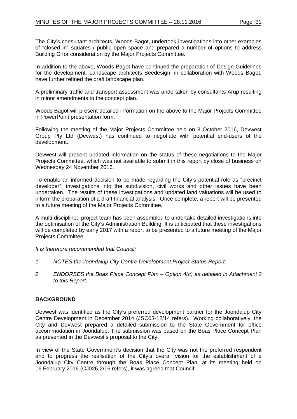The City's consultant architects, Woods Bagot, undertook investigations into other examples of "closed in" squares / public open space and prepared a number of options to address Building G for consideration by the Major Projects Committee.

In addition to the above, Woods Bagot have continued the preparation of Design Guidelines for the development. Landscape architects Seedesign, in collaboration with Woods Bagot, have further refined the draft landscape plan.

A preliminary traffic and transport assessment was undertaken by consultants Arup resulting in minor amendments to the concept plan.

Woods Bagot will present detailed information on the above to the Major Projects Committee in PowerPoint presentation form.

Following the meeting of the Major Projects Committee held on 3 October 2016, Devwest Group Pty Ltd (Devwest) has continued to negotiate with potential end-users of the development.

Devwest will present updated information on the status of these negotiations to the Major Projects Committee, which was not available to submit in this report by close of business on Wednesday 24 November 2016.

To enable an informed decision to be made regarding the City's potential role as "precinct developer", investigations into the subdivision, civil works and other issues have been undertaken. The results of these investigations and updated land valuations will be used to inform the preparation of a draft financial analysis. Once complete, a report will be presented to a future meeting of the Major Projects Committee.

A multi-disciplined project team has been assembled to undertake detailed investigations into the optimisation of the City's Administration Building. It is anticipated that these investigations will be completed by early 2017 with a report to be presented to a future meeting of the Major Projects Committee.

*It is therefore recommended that Council:*

- *1 NOTES the Joondalup City Centre Development Project Status Report;*
- *2 ENDORSES the Boas Place Concept Plan – Option 4(c) as detailed in Attachment 2 to this Report.*

## **BACKGROUND**

Devwest was identified as the City's preferred development partner for the Joondalup City Centre Development in December 2014 (JSC03-12/14 refers). Working collaboratively, the City and Devwest prepared a detailed submission to the State Government for office accommodation in Joondalup. The submission was based on the Boas Place Concept Plan as presented in the Devwest's proposal to the City.

In view of the State Government's decision that the City was not the preferred respondent and to progress the realisation of the City's overall vision for the establishment of a Joondalup City Centre through the Boas Place Concept Plan, at its meeting held on 16 February 2016 (CJ026-2/16 refers), it was agreed that Council: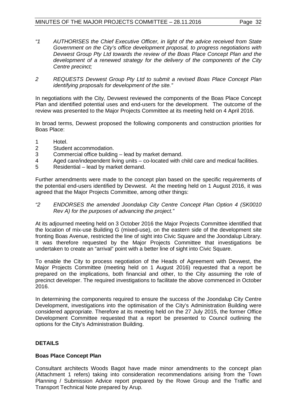- *"1 AUTHORISES the Chief Executive Officer, in light of the advice received from State Government on the City's office development proposal, to progress negotiations with Devwest Group Pty Ltd towards the review of the Boas Place Concept Plan and the development of a renewed strategy for the delivery of the components of the City Centre precinct;*
- *2 REQUESTS Devwest Group Pty Ltd to submit a revised Boas Place Concept Plan identifying proposals for development of the site."*

In negotiations with the City, Devwest reviewed the components of the Boas Place Concept Plan and identified potential uses and end-users for the development. The outcome of the review was presented to the Major Projects Committee at its meeting held on 4 April 2016.

In broad terms, Devwest proposed the following components and construction priorities for Boas Place:

- 1 Hotel.<br>2 Studer
- 2 Student accommodation.<br>3 Commercial office buildin
- 3 Commercial office building lead by market demand.
- 4 Aged care/independent living units co-located with child care and medical facilities.<br>5 Residential lead by market demand.
- 5 Residential lead by market demand.

Further amendments were made to the concept plan based on the specific requirements of the potential end-users identified by Devwest. At the meeting held on 1 August 2016, it was agreed that the Major Projects Committee, among other things:

*"2 ENDORSES the amended Joondalup City Centre Concept Plan Option 4 (SK0010 Rev A) for the purposes of advancing the project."*

At its adjourned meeting held on 3 October 2016 the Major Projects Committee identified that the location of mix-use Building G (mixed-use), on the eastern side of the development site fronting Boas Avenue, restricted the line of sight into Civic Square and the Joondalup Library. It was therefore requested by the Major Projects Committee that investigations be undertaken to create an "arrival" point with a better line of sight into Civic Square.

To enable the City to process negotiation of the Heads of Agreement with Devwest, the Major Projects Committee (meeting held on 1 August 2016) requested that a report be prepared on the implications, both financial and other, to the City assuming the role of precinct developer. The required investigations to facilitate the above commenced in October 2016.

In determining the components required to ensure the success of the Joondalup City Centre Development, investigations into the optimisation of the City's Administration Building were considered appropriate. Therefore at its meeting held on the 27 July 2015, the former Office Development Committee requested that a report be presented to Council outlining the options for the City's Administration Building.

# **DETAILS**

## **Boas Place Concept Plan**

Consultant architects Woods Bagot have made minor amendments to the concept plan (Attachment 1 refers) taking into consideration recommendations arising from the Town Planning / Submission Advice report prepared by the Rowe Group and the Traffic and Transport Technical Note prepared by Arup.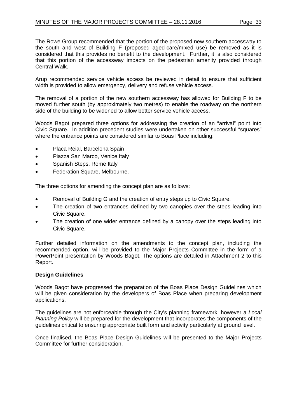The Rowe Group recommended that the portion of the proposed new southern accessway to the south and west of Building F (proposed aged-care/mixed use) be removed as it is considered that this provides no benefit to the development. Further, it is also considered that this portion of the accessway impacts on the pedestrian amenity provided through Central Walk.

Arup recommended service vehicle access be reviewed in detail to ensure that sufficient width is provided to allow emergency, delivery and refuse vehicle access.

The removal of a portion of the new southern accessway has allowed for Building F to be moved further south (by approximately two metres) to enable the roadway on the northern side of the building to be widened to allow better service vehicle access.

Woods Bagot prepared three options for addressing the creation of an "arrival" point into Civic Square. In addition precedent studies were undertaken on other successful "squares" where the entrance points are considered similar to Boas Place including:

- Placa Reial, Barcelona Spain
- Piazza San Marco, Venice Italy
- Spanish Steps, Rome Italy
- Federation Square, Melbourne.

The three options for amending the concept plan are as follows:

- Removal of Building G and the creation of entry steps up to Civic Square.
- The creation of two entrances defined by two canopies over the steps leading into Civic Square.
- The creation of one wider entrance defined by a canopy over the steps leading into Civic Square.

Further detailed information on the amendments to the concept plan, including the recommended option, will be provided to the Major Projects Committee in the form of a PowerPoint presentation by Woods Bagot. The options are detailed in Attachment 2 to this Report.

## **Design Guidelines**

Woods Bagot have progressed the preparation of the Boas Place Design Guidelines which will be given consideration by the developers of Boas Place when preparing development applications.

The guidelines are not enforceable through the City's planning framework, however a *Local Planning Policy* will be prepared for the development that incorporates the components of the guidelines critical to ensuring appropriate built form and activity particularly at ground level.

Once finalised, the Boas Place Design Guidelines will be presented to the Major Projects Committee for further consideration.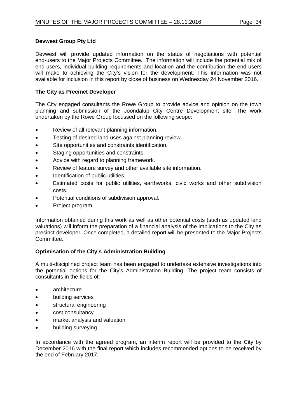# **Devwest Group Pty Ltd**

Devwest will provide updated information on the status of negotiations with potential end-users to the Major Projects Committee. The information will include the potential mix of end-users, individual building requirements and location and the contribution the end-users will make to achieving the City's vision for the development. This information was not available for inclusion in this report by close of business on Wednesday 24 November 2016.

# **The City as Precinct Developer**

The City engaged consultants the Rowe Group to provide advice and opinion on the town planning and submission of the Joondalup City Centre Development site. The work undertaken by the Rowe Group focussed on the following scope:

- Review of all relevant planning information.
- Testing of desired land uses against planning review.
- Site opportunities and constraints identification.
- Staging opportunities and constraints.
- Advice with regard to planning framework.
- Review of feature survey and other available site information.
- Identification of public utilities.
- Estimated costs for public utilities, earthworks, civic works and other subdivision costs.
- Potential conditions of subdivision approval.
- Project program.

Information obtained during this work as well as other potential costs (such as updated land valuations) will inform the preparation of a financial analysis of the implications to the City as precinct developer. Once completed, a detailed report will be presented to the Major Projects Committee.

## **Optimisation of the City's Administration Building**

A multi-disciplined project team has been engaged to undertake extensive investigations into the potential options for the City's Administration Building. The project team consists of consultants in the fields of:

- architecture
- building services
- structural engineering
- cost consultancy
- market analysis and valuation
- building surveying.

In accordance with the agreed program, an interim report will be provided to the City by December 2016 with the final report which includes recommended options to be received by the end of February 2017.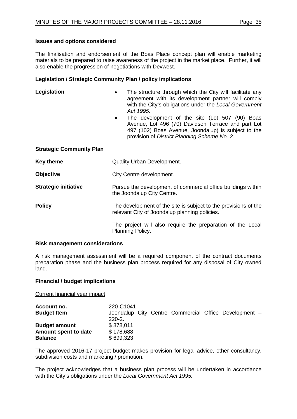# **Issues and options considered**

The finalisation and endorsement of the Boas Place concept plan will enable marketing materials to be prepared to raise awareness of the project in the market place. Further, it will also enable the progression of negotiations with Devwest.

# **Legislation / Strategic Community Plan / policy implications**

| Legislation                     | The structure through which the City will facilitate any<br>agreement with its development partner will comply<br>with the City's obligations under the Local Government<br>Act 1995.<br>The development of the site (Lot 507 (90) Boas<br>$\bullet$<br>Avenue, Lot 496 (70) Davidson Terrace and part Lot<br>497 (102) Boas Avenue, Joondalup) is subject to the<br>provision of District Planning Scheme No. 2. |
|---------------------------------|-------------------------------------------------------------------------------------------------------------------------------------------------------------------------------------------------------------------------------------------------------------------------------------------------------------------------------------------------------------------------------------------------------------------|
| <b>Strategic Community Plan</b> |                                                                                                                                                                                                                                                                                                                                                                                                                   |
| Key theme                       | <b>Quality Urban Development.</b>                                                                                                                                                                                                                                                                                                                                                                                 |
| <b>Objective</b>                | City Centre development.                                                                                                                                                                                                                                                                                                                                                                                          |
| <b>Strategic initiative</b>     | Pursue the development of commercial office buildings within<br>the Joondalup City Centre.                                                                                                                                                                                                                                                                                                                        |
| <b>Policy</b>                   | The development of the site is subject to the provisions of the<br>relevant City of Joondalup planning policies.                                                                                                                                                                                                                                                                                                  |
|                                 | The project will also require the preparation of the Local<br>Planning Policy.                                                                                                                                                                                                                                                                                                                                    |

## **Risk management considerations**

A risk management assessment will be a required component of the contract documents preparation phase and the business plan process required for any disposal of City owned land.

# **Financial / budget implications**

Current financial year impact

| Account no.          | 220-C1041   |  |  |                                                       |  |
|----------------------|-------------|--|--|-------------------------------------------------------|--|
| <b>Budget Item</b>   |             |  |  | Joondalup City Centre Commercial Office Development - |  |
|                      | $220 - 2$ . |  |  |                                                       |  |
| <b>Budget amount</b> | \$878.011   |  |  |                                                       |  |
| Amount spent to date | \$178,688   |  |  |                                                       |  |
| <b>Balance</b>       | \$699,323   |  |  |                                                       |  |

The approved 2016-17 project budget makes provision for legal advice, other consultancy, subdivision costs and marketing / promotion.

The project acknowledges that a business plan process will be undertaken in accordance with the City's obligations under the *Local Government Act 1995.*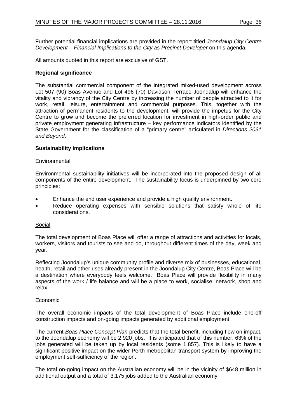Further potential financial implications are provided in the report titled *Joondalup City Centre Development – Financial Implications to the City as Precinct Developer* on this agenda*.*

All amounts quoted in this report are exclusive of GST.

#### **Regional significance**

The substantial commercial component of the integrated mixed-used development across Lot 507 (90) Boas Avenue and Lot 496 (70) Davidson Terrace Joondalup will enhance the vitality and vibrancy of the City Centre by increasing the number of people attracted to it for work, retail, leisure, entertainment and commercial purposes. This, together with the attraction of permanent residents to the development, will provide the impetus for the City Centre to grow and become the preferred location for investment in high-order public and private employment generating infrastructure – key performance indicators identified by the State Government for the classification of a "primary centre" articulated in *Directions 2031 and Beyond.*

#### **Sustainability implications**

#### Environmental

Environmental sustainability initiatives will be incorporated into the proposed design of all components of the entire development. The sustainability focus is underpinned by two core principles:

- Enhance the end user experience and provide a high quality environment.
- Reduce operating expenses with sensible solutions that satisfy whole of life considerations.

#### Social

The total development of Boas Place will offer a range of attractions and activities for locals, workers, visitors and tourists to see and do, throughout different times of the day, week and year.

Reflecting Joondalup's unique community profile and diverse mix of businesses, educational, health, retail and other uses already present in the Joondalup City Centre, Boas Place will be a destination where everybody feels welcome. Boas Place will provide flexibility in many aspects of the work / life balance and will be a place to work, socialise, network, shop and relax.

#### Economic

The overall economic impacts of the total development of Boas Place include one-off construction impacts and on-going impacts generated by additional employment.

The current *Boas Place Concept Plan* predicts that the total benefit, including flow on impact, to the Joondalup economy will be 2,920 jobs. It is anticipated that of this number, 63% of the jobs generated will be taken up by local residents (some 1,857). This is likely to have a significant positive impact on the wider Perth metropolitan transport system by improving the employment self-sufficiency of the region.

The total on-going impact on the Australian economy will be in the vicinity of \$648 million in additional output and a total of 3,175 jobs added to the Australian economy.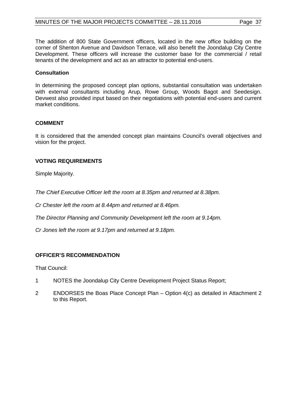The addition of 800 State Government officers, located in the new office building on the corner of Shenton Avenue and Davidson Terrace, will also benefit the Joondalup City Centre Development. These officers will increase the customer base for the commercial / retail tenants of the development and act as an attractor to potential end-users.

## **Consultation**

In determining the proposed concept plan options, substantial consultation was undertaken with external consultants including Arup, Rowe Group, Woods Bagot and Seedesign. Devwest also provided input based on their negotiations with potential end-users and current market conditions.

## **COMMENT**

It is considered that the amended concept plan maintains Council's overall objectives and vision for the project.

# **VOTING REQUIREMENTS**

Simple Majority.

*The Chief Executive Officer left the room at 8.35pm and returned at 8.38pm.*

*Cr Chester left the room at 8.44pm and returned at 8.46pm.*

*The Director Planning and Community Development left the room at 9.14pm.*

*Cr Jones left the room at 9.17pm and returned at 9.18pm.*

## **OFFICER'S RECOMMENDATION**

That Council:

- 1 NOTES the Joondalup City Centre Development Project Status Report;
- 2 ENDORSES the Boas Place Concept Plan Option 4(c) as detailed in Attachment 2 to this Report.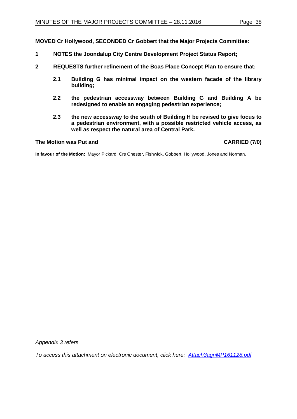**MOVED Cr Hollywood, SECONDED Cr Gobbert that the Major Projects Committee:** 

- **1 NOTES the Joondalup City Centre Development Project Status Report;**
- **2 REQUESTS further refinement of the Boas Place Concept Plan to ensure that:**
	- **2.1 Building G has minimal impact on the western facade of the library building;**
	- **2.2 the pedestrian accessway between Building G and Building A be redesigned to enable an engaging pedestrian experience;**
	- **2.3 the new accessway to the south of Building H be revised to give focus to a pedestrian environment, with a possible restricted vehicle access, as well as respect the natural area of Central Park.**

#### **The Motion was Put and CARRIED (7/0)**

**In favour of the Motion:** Mayor Pickard, Crs Chester, Fishwick, Gobbert, Hollywood, Jones and Norman.

*Appendix 3 refers*

*[To access this attachment on electronic document, click here: Attach3agnMP161128.pdf](http://www.joondalup.wa.gov.au/files/committees/MAPC/2016/Attach3agnMP161128.pdf)*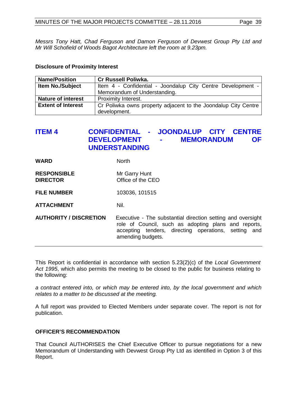*Messrs Tony Hatt, Chad Ferguson and Damon Ferguson of Devwest Group Pty Ltd and Mr Will Schofield of Woods Bagot Architecture left the room at 9.23pm.*

#### **Disclosure of Proximity Interest**

| <b>Name/Position</b>      | <b>Cr Russell Poliwka.</b>                                     |
|---------------------------|----------------------------------------------------------------|
| <b>Item No./Subject</b>   | Item 4 - Confidential - Joondalup City Centre Development -    |
|                           | Memorandum of Understanding.                                   |
| <b>Nature of interest</b> | Proximity Interest.                                            |
| <b>Extent of Interest</b> | Cr Poliwka owns property adjacent to the Joondalup City Centre |
|                           | development.                                                   |

# <span id="page-38-0"></span>**ITEM 4 CONFIDENTIAL - JOONDALUP CITY CENTRE DEVELOPMENT - MEMORANDUM OF UNDERSTANDING**

**WARD** North

- **RESPONSIBLE** Mr Garry Hunt<br> **DIRECTOR** Office of the CI **Diffice of the CEO**
- **FILE NUMBER** 103036, 101515
- **ATTACHMENT** Nil.
- **AUTHORITY / DISCRETION** Executive The substantial direction setting and oversight role of Council, such as adopting plans and reports, accepting tenders, directing operations, setting and amending budgets.

This Report is confidential in accordance with section 5.23(2)(c) of the *Local Government Act 1995*, which also permits the meeting to be closed to the public for business relating to the following:

*a contract entered into, or which may be entered into, by the local government and which relates to a matter to be discussed at the meeting.*

A full report was provided to Elected Members under separate cover. The report is not for publication.

# **OFFICER'S RECOMMENDATION**

That Council AUTHORISES the Chief Executive Officer to pursue negotiations for a new Memorandum of Understanding with Devwest Group Pty Ltd as identified in Option 3 of this Report.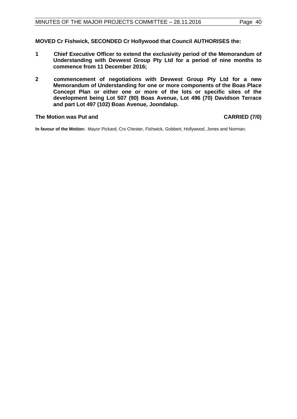**MOVED Cr Fishwick, SECONDED Cr Hollywood that Council AUTHORISES the:**

- **1 Chief Executive Officer to extend the exclusivity period of the Memorandum of Understanding with Devwest Group Pty Ltd for a period of nine months to commence from 11 December 2016;**
- **2 commencement of negotiations with Devwest Group Pty Ltd for a new Memorandum of Understanding for one or more components of the Boas Place Concept Plan or either one or more of the lots or specific sites of the development being Lot 507 (90) Boas Avenue, Lot 496 (70) Davidson Terrace and part Lot 497 (102) Boas Avenue, Joondalup.**

#### **The Motion was Put and CARRIED (7/0)**

**In favour of the Motion:** Mayor Pickard, Crs Chester, Fishwick, Gobbert, Hollywood, Jones and Norman.